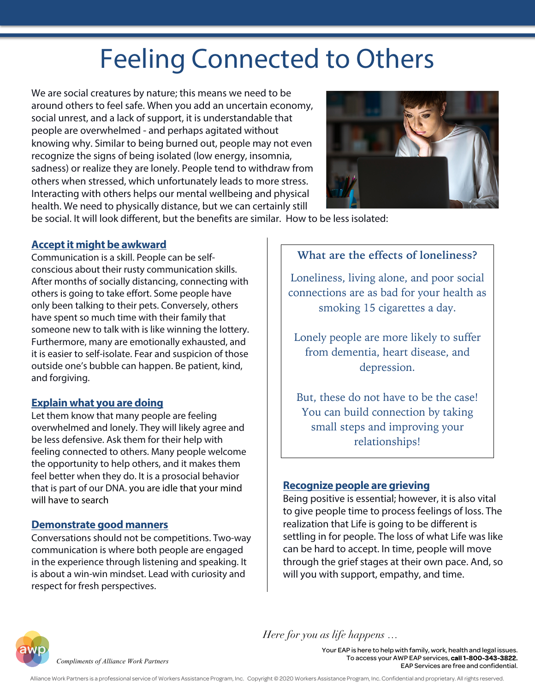# Feeling Connected to Others

We are social creatures by nature; this means we need to be around others to feel safe. When you add an uncertain economy, social unrest, and a lack of support, it is understandable that people are overwhelmed - and perhaps agitated without knowing why. Similar to being burned out, people may not even recognize the signs of being isolated (low energy, insomnia, sadness) or realize they are lonely. People tend to withdraw from others when stressed, which unfortunately leads to more stress. Interacting with others helps our mental wellbeing and physical health. We need to physically distance, but we can certainly still



be social. It will look different, but the benefits are similar. How to be less isolated:

## **Acceptit might be awkward**

Communication is a skill. People can be selfconscious about their rusty communication skills. After months of socially distancing, connecting with others is going to take effort. Some people have only been talking to their pets. Conversely, others have spent so much time with their family that someone new to talk with is like winning the lottery. Furthermore, many are emotionally exhausted, and it is easier to self-isolate. Fear and suspicion of those outside one's bubble can happen. Be patient, kind, and forgiving.

## **Explain what you are doing**

Let them know that many people are feeling overwhelmed and lonely. They will likely agree and be less defensive. Ask them for their help with feeling connected to others. Many people welcome the opportunity to help others, and it makes them feel better when they do. It is a prosocial behavior that is part of our DNA. you are idle that your mind will have to search

# **Demonstrate good manners**

Conversations should not be competitions. Two-way communication is where both people are engaged in the experience through listening and speaking. It is about a win-win mindset. Lead with curiosity and respect for fresh perspectives.

# **What are the effects of loneliness?**

Loneliness, living alone, and poor social connections are as bad for your health as smoking 15 cigarettes a day.

Lonely people are more likely to suffer from dementia, heart disease, and depression.

But, these do not have to be the case! You can build connection by taking small steps and improving your relationships!

# **Recognize people are grieving**

*Here for you as life happens …*

Being positive is essential; however, it is also vital to give people time to process feelings of loss. The realization that Life is going to be different is settling in for people. The loss of what Life was like can be hard to accept. In time, people will move through the grief stages at their own pace. And, so will you with support, empathy, and time.



*Compliments of Alliance Work Partners*

Your EAP is here to help with family, work, health and legal issues. To access your AWP EAP services, call 1-800-343-3822. EAP Services are free and confidential.